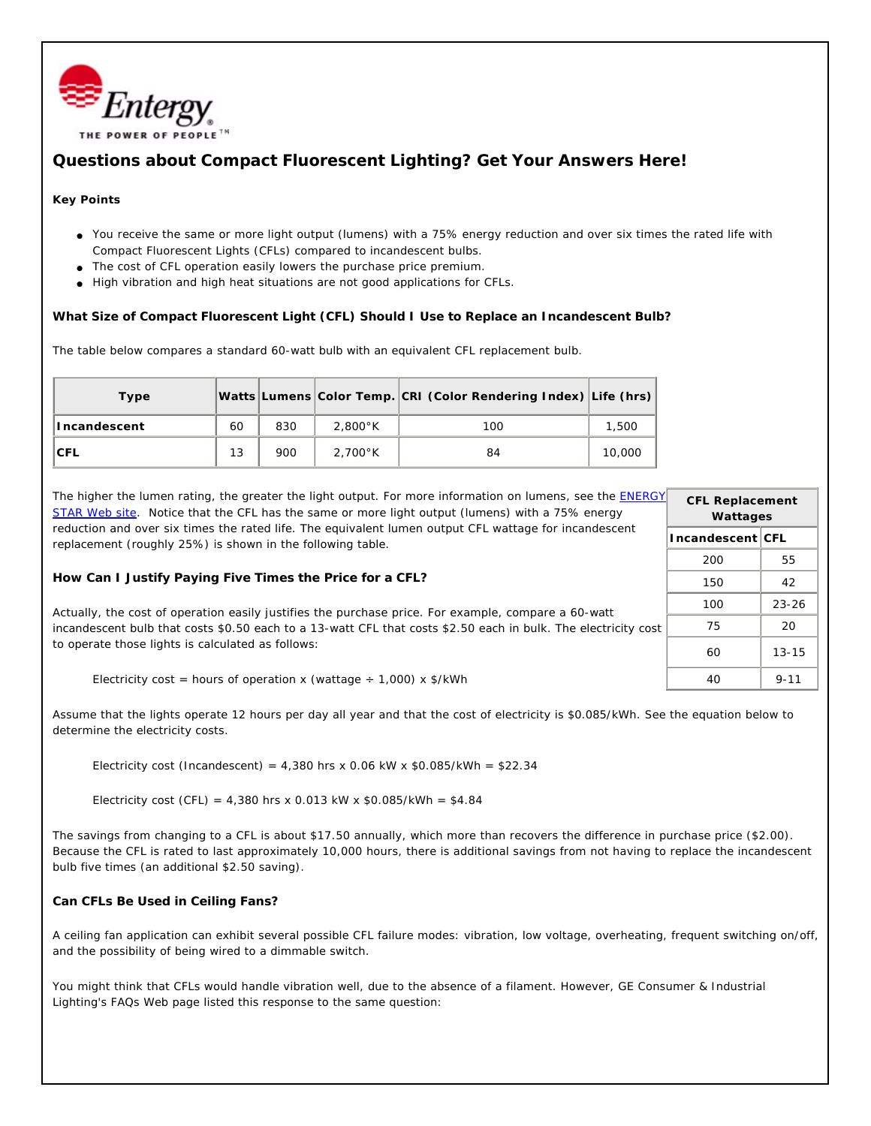

## **Questions about Compact Fluorescent Lighting? Get Your Answers Here!**

## **Key Points**

- You receive the same or more light output (lumens) with a 75% energy reduction and over six times the rated life with Compact Fluorescent Lights (CFLs) compared to incandescent bulbs.
- The cost of CFL operation easily lowers the purchase price premium.
- High vibration and high heat situations are not good applications for CFLs.

**What Size of Compact Fluorescent Light (CFL) Should I Use to Replace an Incandescent Bulb?**

The table below compares a standard 60-watt bulb with an *equivalent* CFL replacement bulb.

| Type         |    |     |                   | Watts Lumens Color Temp. CRI (Color Rendering Index) Life (hrs) |        |
|--------------|----|-----|-------------------|-----------------------------------------------------------------|--------|
| Incandescent | 60 | 830 | $2.800^{\circ}$ K | 100                                                             | 1,500  |
| ICFL         | 13 | 900 | $2.700^{\circ}$ K | 84                                                              | 10,000 |

The higher the lumen rating, the greater the light output. For more information on lumens, see the ENERGY STAR Web site. Notice that the CFL has the same or more light output (lumens) with a 75% energy reduction and over six times the rated life. The equivalent lumen output CFL wattage for incandescent replacement (roughly 25%) is shown in the following table.

**How Can I Justify Paying Five Times the Price for a CFL?**

Actually, the cost of operation easily justifies the purchase price. For example, compare a 60-watt incandescent bulb that costs \$0.50 each to a 13-watt CFL that costs \$2.50 each in bulk. The electricity cost to operate those lights is calculated as follows:

Electricity cost = hours of operation x (wattage  $\div$  1,000) x \$/kWh

Assume that the lights operate 12 hours per day all year and that the cost of electricity is \$0.085/kWh. See the equation below to determine the electricity costs.

Electricity cost (Incandescent) =  $4,380$  hrs x 0.06 kW x \$0.085/kWh = \$22.34

Electricity cost (CFL) = 4,380 hrs x 0.013 kW x  $$0.085/kWh = $4.84$ 

The savings from changing to a CFL is about \$17.50 annually, which more than recovers the difference in purchase price (\$2.00). Because the CFL is rated to last approximately 10,000 hours, there is additional savings from not having to replace the incandescent bulb five times (an additional \$2.50 saving).

**Can CFLs Be Used in Ceiling Fans?**

A ceiling fan application can exhibit several possible CFL failure modes: vibration, low voltage, overheating, frequent switching on/off, and the possibility of being wired to a dimmable switch.

You might think that CFLs would handle vibration well, due to the absence of a filament. However, GE Consumer & Industrial Lighting's FAQs Web page listed this response to the same question:

| <b>CFL Replacement</b><br>Wattages |           |  |  |  |  |
|------------------------------------|-----------|--|--|--|--|
| Incandescent   CFL                 |           |  |  |  |  |
| 200                                | 55        |  |  |  |  |
| 150                                | 42        |  |  |  |  |
| 100                                | $23 - 26$ |  |  |  |  |
| 75                                 | 20        |  |  |  |  |
| 60                                 | $13 - 15$ |  |  |  |  |
|                                    | 9-11      |  |  |  |  |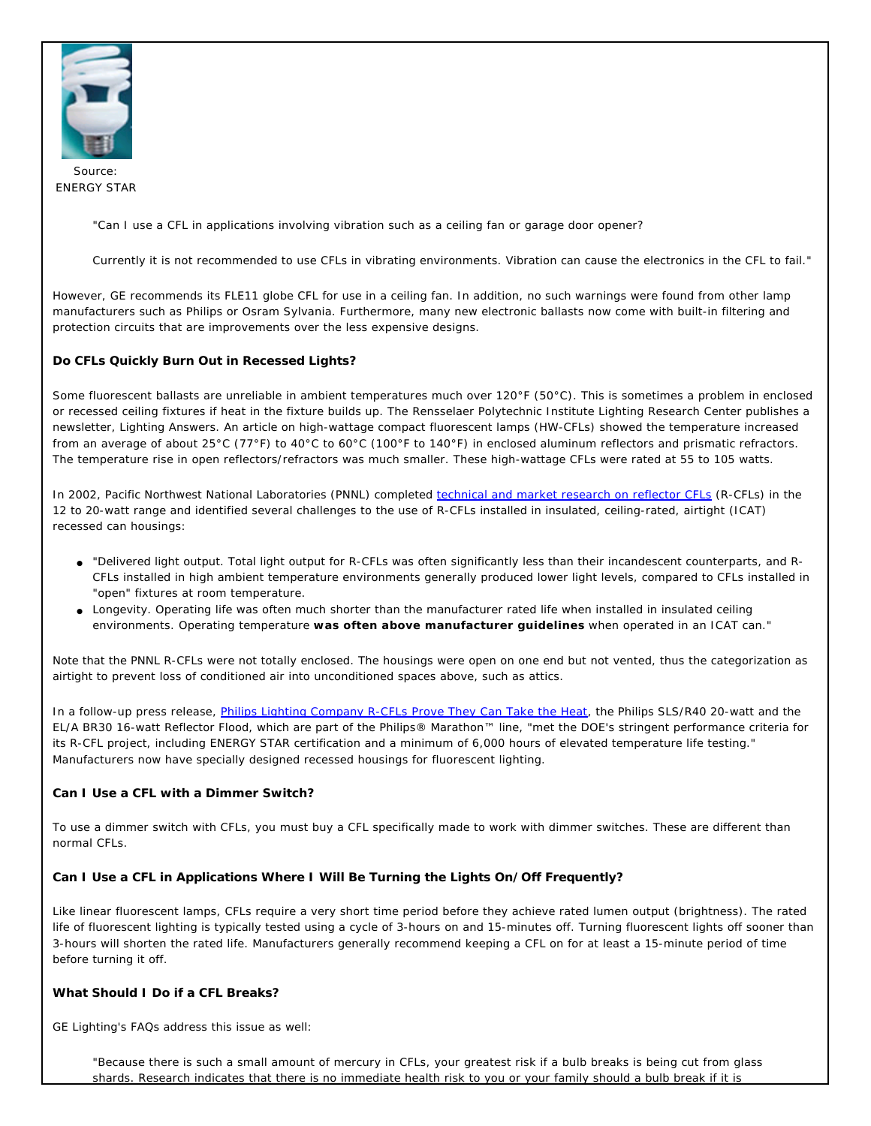

Source: ENERGY STAR

"Can I use a CFL in applications involving vibration such as a ceiling fan or garage door opener?

Currently it is not recommended to use CFLs in vibrating environments. Vibration can cause the electronics in the CFL to fail."

However, GE recommends its FLE11 globe CFL for use in a ceiling fan. In addition, no such warnings were found from other lamp manufacturers such as Philips or Osram Sylvania. Furthermore, many new electronic ballasts now come with built-in filtering and protection circuits that are improvements over the less expensive designs.

**Do CFLs Quickly Burn Out in Recessed Lights?**

Some fluorescent ballasts are unreliable in ambient temperatures much over 120°F (50°C). This is sometimes a problem in enclosed or recessed ceiling fixtures if heat in the fixture builds up. The Rensselaer Polytechnic Institute Lighting Research Center publishes a newsletter, Lighting Answers. An article on high-wattage compact fluorescent lamps (HW-CFLs) showed the temperature increased from an average of about 25°C (77°F) to 40°C to 60°C (100°F to 140°F) in enclosed aluminum reflectors and prismatic refractors. The temperature rise in open reflectors/refractors was much smaller. These high-wattage CFLs were rated at 55 to 105 watts.

In 2002, Pacific Northwest National Laboratories (PNNL) completed technical and market research on reflector CFLs (R-CFLs) in the 12 to 20-watt range and identified several challenges to the use of R-CFLs installed in insulated, ceiling-rated, airtight (ICAT) recessed can housings:

- "Delivered light output. Total light output for R-CFLs was often significantly less than their incandescent counterparts, and R-CFLs installed in high ambient temperature environments generally produced lower light levels, compared to CFLs installed in "open" fixtures at room temperature.
- Longevity. Operating life was often much shorter than the manufacturer rated life when installed in insulated ceiling environments. Operating temperature **was often above manufacturer guidelines** when operated in an ICAT can."

Note that the PNNL R-CFLs were not totally enclosed. The housings were open on one end but not vented, thus the categorization as *airtight* to prevent loss of conditioned air into unconditioned spaces above, such as attics.

In a follow-up press release, Philips Lighting Company R-CFLs Prove They Can Take the Heat, the Philips SLS/R40 20-watt and the EL/A BR30 16-watt Reflector Flood, which are part of the Philips® Marathon™ line, "met the DOE's stringent performance criteria for its R-CFL project, including ENERGY STAR certification and a minimum of 6,000 hours of elevated temperature life testing." Manufacturers now have specially designed recessed housings for fluorescent lighting.

**Can I Use a CFL with a Dimmer Switch?**

To use a dimmer switch with CFLs, you must buy a CFL specifically made to work with dimmer switches. These are different than normal CFLs.

**Can I Use a CFL in Applications Where I Will Be Turning the Lights On/Off Frequently?**

Like linear fluorescent lamps, CFLs require a very short time period before they achieve rated lumen output (brightness). The rated life of fluorescent lighting is typically tested using a cycle of 3-hours on and 15-minutes off. Turning fluorescent lights off sooner than 3-hours will shorten the rated life. Manufacturers generally recommend keeping a CFL on for at least a 15-minute period of time before turning it off.

**What Should I Do if a CFL Breaks?**

GE Lighting's FAQs address this issue as well:

"Because there is such a small amount of mercury in CFLs, your greatest risk if a bulb breaks is being cut from glass shards. Research indicates that there is no immediate health risk to you or your family should a bulb break if it is